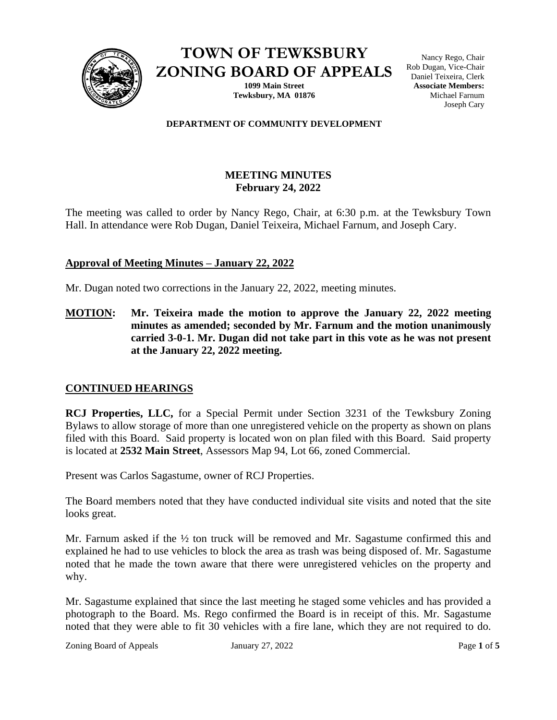

**TOWN OF TEWKSBURY ZONING BOARD OF APPEALS**

> **1099 Main Street Tewksbury, MA 01876**

Nancy Rego, Chair Rob Dugan, Vice-Chair Daniel Teixeira, Clerk **Associate Members:** Michael Farnum Joseph Cary

## **DEPARTMENT OF COMMUNITY DEVELOPMENT**

# **MEETING MINUTES February 24, 2022**

The meeting was called to order by Nancy Rego, Chair, at 6:30 p.m. at the Tewksbury Town Hall. In attendance were Rob Dugan, Daniel Teixeira, Michael Farnum, and Joseph Cary.

## **Approval of Meeting Minutes – January 22, 2022**

Mr. Dugan noted two corrections in the January 22, 2022, meeting minutes.

**MOTION: Mr. Teixeira made the motion to approve the January 22, 2022 meeting minutes as amended; seconded by Mr. Farnum and the motion unanimously carried 3-0-1. Mr. Dugan did not take part in this vote as he was not present at the January 22, 2022 meeting.** 

## **CONTINUED HEARINGS**

**RCJ Properties, LLC,** for a Special Permit under Section 3231 of the Tewksbury Zoning Bylaws to allow storage of more than one unregistered vehicle on the property as shown on plans filed with this Board. Said property is located won on plan filed with this Board. Said property is located at **2532 Main Street**, Assessors Map 94, Lot 66, zoned Commercial.

Present was Carlos Sagastume, owner of RCJ Properties.

The Board members noted that they have conducted individual site visits and noted that the site looks great.

Mr. Farnum asked if the  $\frac{1}{2}$  ton truck will be removed and Mr. Sagastume confirmed this and explained he had to use vehicles to block the area as trash was being disposed of. Mr. Sagastume noted that he made the town aware that there were unregistered vehicles on the property and why.

Mr. Sagastume explained that since the last meeting he staged some vehicles and has provided a photograph to the Board. Ms. Rego confirmed the Board is in receipt of this. Mr. Sagastume noted that they were able to fit 30 vehicles with a fire lane, which they are not required to do.

Zoning Board of Appeals January 27, 2022 Page 1 of 5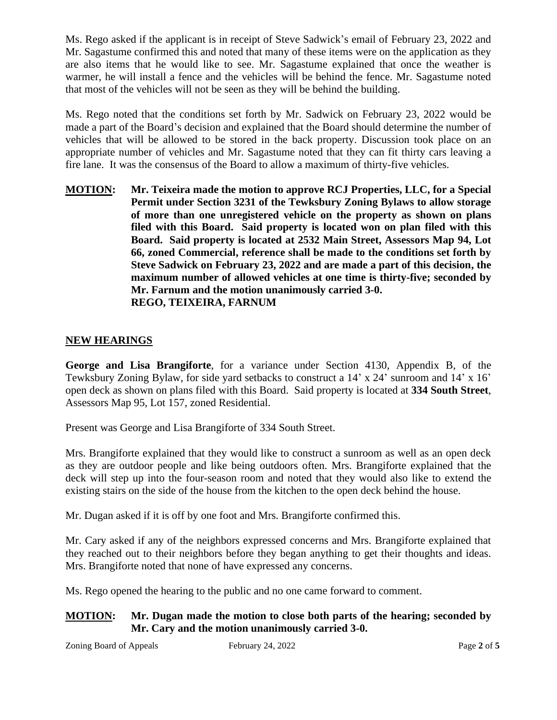Ms. Rego asked if the applicant is in receipt of Steve Sadwick's email of February 23, 2022 and Mr. Sagastume confirmed this and noted that many of these items were on the application as they are also items that he would like to see. Mr. Sagastume explained that once the weather is warmer, he will install a fence and the vehicles will be behind the fence. Mr. Sagastume noted that most of the vehicles will not be seen as they will be behind the building.

Ms. Rego noted that the conditions set forth by Mr. Sadwick on February 23, 2022 would be made a part of the Board's decision and explained that the Board should determine the number of vehicles that will be allowed to be stored in the back property. Discussion took place on an appropriate number of vehicles and Mr. Sagastume noted that they can fit thirty cars leaving a fire lane. It was the consensus of the Board to allow a maximum of thirty-five vehicles.

**MOTION: Mr. Teixeira made the motion to approve RCJ Properties, LLC, for a Special Permit under Section 3231 of the Tewksbury Zoning Bylaws to allow storage of more than one unregistered vehicle on the property as shown on plans filed with this Board. Said property is located won on plan filed with this Board. Said property is located at 2532 Main Street, Assessors Map 94, Lot 66, zoned Commercial, reference shall be made to the conditions set forth by Steve Sadwick on February 23, 2022 and are made a part of this decision, the maximum number of allowed vehicles at one time is thirty-five; seconded by Mr. Farnum and the motion unanimously carried 3-0. REGO, TEIXEIRA, FARNUM**

# **NEW HEARINGS**

**George and Lisa Brangiforte**, for a variance under Section 4130, Appendix B, of the Tewksbury Zoning Bylaw, for side yard setbacks to construct a 14' x 24' sunroom and 14' x 16' open deck as shown on plans filed with this Board. Said property is located at **334 South Street**, Assessors Map 95, Lot 157, zoned Residential.

Present was George and Lisa Brangiforte of 334 South Street.

Mrs. Brangiforte explained that they would like to construct a sunroom as well as an open deck as they are outdoor people and like being outdoors often. Mrs. Brangiforte explained that the deck will step up into the four-season room and noted that they would also like to extend the existing stairs on the side of the house from the kitchen to the open deck behind the house.

Mr. Dugan asked if it is off by one foot and Mrs. Brangiforte confirmed this.

Mr. Cary asked if any of the neighbors expressed concerns and Mrs. Brangiforte explained that they reached out to their neighbors before they began anything to get their thoughts and ideas. Mrs. Brangiforte noted that none of have expressed any concerns.

Ms. Rego opened the hearing to the public and no one came forward to comment.

## **MOTION: Mr. Dugan made the motion to close both parts of the hearing; seconded by Mr. Cary and the motion unanimously carried 3-0.**

Zoning Board of Appeals February 24, 2022 Page 2 of 5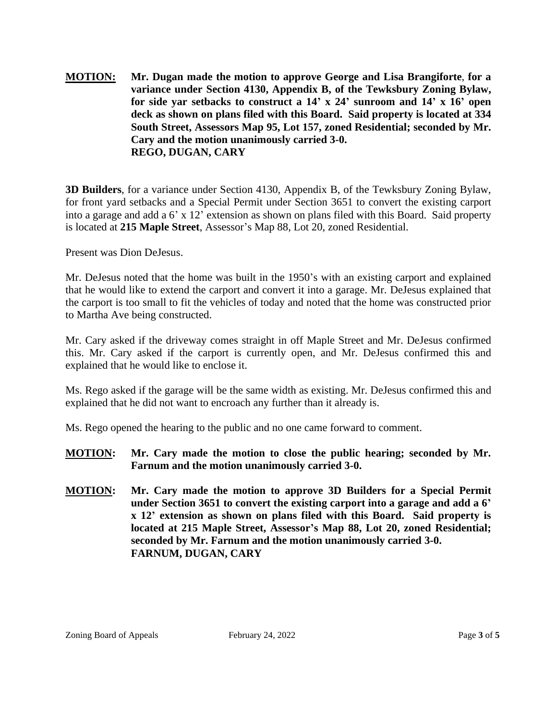**MOTION: Mr. Dugan made the motion to approve George and Lisa Brangiforte**, **for a variance under Section 4130, Appendix B, of the Tewksbury Zoning Bylaw, for side yar setbacks to construct a 14' x 24' sunroom and 14' x 16' open deck as shown on plans filed with this Board. Said property is located at 334 South Street, Assessors Map 95, Lot 157, zoned Residential; seconded by Mr. Cary and the motion unanimously carried 3-0. REGO, DUGAN, CARY**

**3D Builders**, for a variance under Section 4130, Appendix B, of the Tewksbury Zoning Bylaw, for front yard setbacks and a Special Permit under Section 3651 to convert the existing carport into a garage and add a 6' x 12' extension as shown on plans filed with this Board. Said property is located at **215 Maple Street**, Assessor's Map 88, Lot 20, zoned Residential.

Present was Dion DeJesus.

Mr. DeJesus noted that the home was built in the 1950's with an existing carport and explained that he would like to extend the carport and convert it into a garage. Mr. DeJesus explained that the carport is too small to fit the vehicles of today and noted that the home was constructed prior to Martha Ave being constructed.

Mr. Cary asked if the driveway comes straight in off Maple Street and Mr. DeJesus confirmed this. Mr. Cary asked if the carport is currently open, and Mr. DeJesus confirmed this and explained that he would like to enclose it.

Ms. Rego asked if the garage will be the same width as existing. Mr. DeJesus confirmed this and explained that he did not want to encroach any further than it already is.

Ms. Rego opened the hearing to the public and no one came forward to comment.

- **MOTION: Mr. Cary made the motion to close the public hearing; seconded by Mr. Farnum and the motion unanimously carried 3-0.**
- **MOTION: Mr. Cary made the motion to approve 3D Builders for a Special Permit under Section 3651 to convert the existing carport into a garage and add a 6' x 12' extension as shown on plans filed with this Board. Said property is located at 215 Maple Street, Assessor's Map 88, Lot 20, zoned Residential; seconded by Mr. Farnum and the motion unanimously carried 3-0. FARNUM, DUGAN, CARY**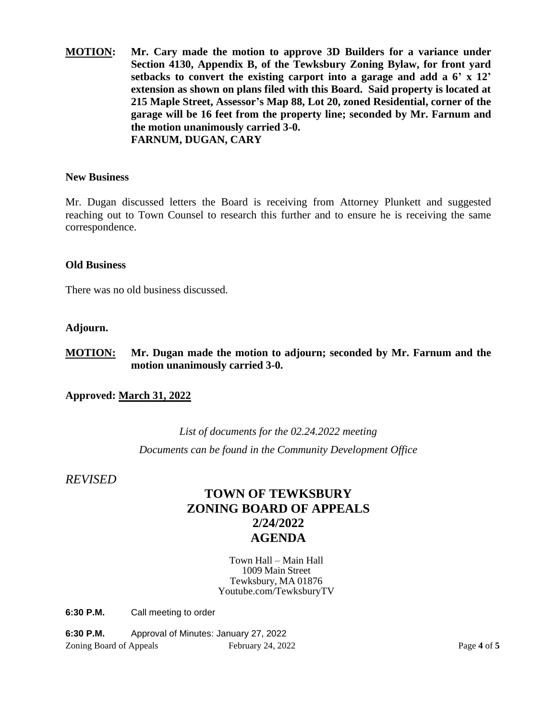**MOTION: Mr. Cary made the motion to approve 3D Builders for a variance under Section 4130, Appendix B, of the Tewksbury Zoning Bylaw, for front yard setbacks to convert the existing carport into a garage and add a 6' x 12' extension as shown on plans filed with this Board. Said property is located at 215 Maple Street, Assessor's Map 88, Lot 20, zoned Residential, corner of the garage will be 16 feet from the property line; seconded by Mr. Farnum and the motion unanimously carried 3-0. FARNUM, DUGAN, CARY**

## **New Business**

Mr. Dugan discussed letters the Board is receiving from Attorney Plunkett and suggested reaching out to Town Counsel to research this further and to ensure he is receiving the same correspondence.

## **Old Business**

There was no old business discussed.

## **Adjourn.**

**MOTION: Mr. Dugan made the motion to adjourn; seconded by Mr. Farnum and the motion unanimously carried 3-0.**

**Approved: March 31, 2022**

# *List of documents for the 02.24.2022 meeting Documents can be found in the Community Development Office*

*REVISED*

# **TOWN OF TEWKSBURY ZONING BOARD OF APPEALS 2/24/2022 AGENDA**

Town Hall – Main Hall 1009 Main Street Tewksbury, MA 01876 Youtube.com/TewksburyTV

**6:30 P.M.** Call meeting to order

Zoning Board of Appeals February 24, 2022 Page **4** of **5 6:30 P.M.** Approval of Minutes: January 27, 2022